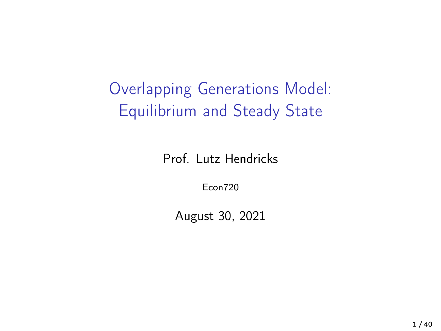Overlapping Generations Model: Equilibrium and Steady State

Prof. Lutz Hendricks

Econ720

August 30, 2021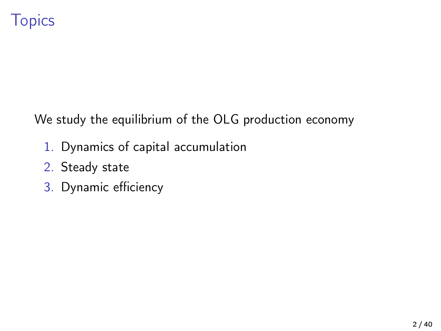We study the equilibrium of the OLG production economy

- 1. Dynamics of capital accumulation
- 2. Steady state
- 3. Dynamic efficiency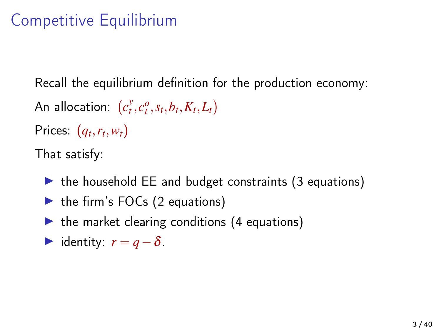### Competitive Equilibrium

Recall the equilibrium definition for the production economy:

An allocation:  $(c_t^y, c_t^o, s_t, b_t, K_t, L_t)$ Prices:  $(q_t, r_t, w_t)$ 

That satisfy:

- $\triangleright$  the household EE and budget constraints (3 equations)
- $\triangleright$  the firm's FOCs (2 equations)
- $\triangleright$  the market clearing conditions (4 equations)
- $\triangleright$  identity:  $r = q \delta$ .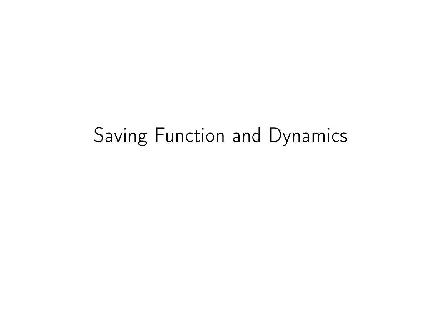# Saving Function and Dynamics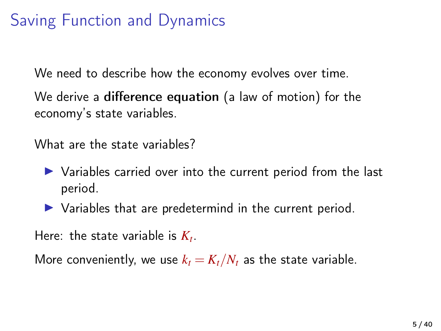### Saving Function and Dynamics

We need to describe how the economy evolves over time.

We derive a difference equation (a law of motion) for the economy's state variables.

What are the state variables?

- $\triangleright$  Variables carried over into the current period from the last period.
- $\triangleright$  Variables that are predetermind in the current period.

Here: the state variable is  $K_t$ .

More conveniently, we use  $k_t = K_t/N_t$  as the state variable.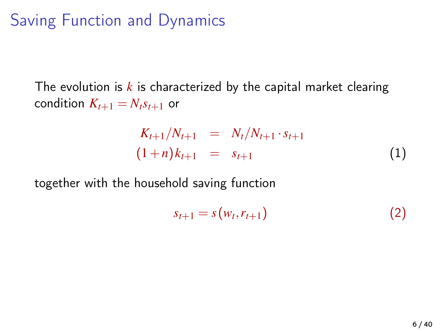#### Saving Function and Dynamics

The evolution is  $k$  is characterized by the capital market clearing condition  $K_{t+1} = N_t s_{t+1}$  or

$$
K_{t+1}/N_{t+1} = N_t/N_{t+1} \cdot s_{t+1}
$$
  
(1+n)  $k_{t+1} = s_{t+1}$  (1)

together with the household saving function

$$
s_{t+1} = s(w_t, r_{t+1}) \tag{2}
$$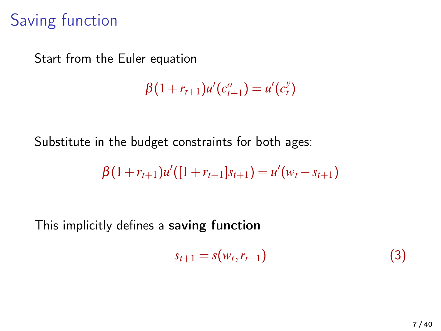#### Saving function

Start from the Euler equation

$$
\beta(1 + r_{t+1})u'(c_{t+1}^o) = u'(c_t^v)
$$

Substitute in the budget constraints for both ages:

$$
\beta(1+r_{t+1})u'([1+r_{t+1}]s_{t+1})=u'(w_t-s_{t+1})
$$

This implicitly defines a saving function

$$
s_{t+1} = s(w_t, r_{t+1}) \tag{3}
$$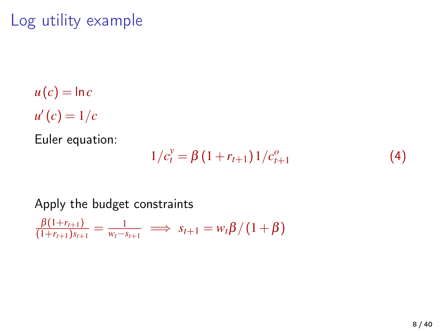# Log utility example

 $u(c) = \ln c$  $u'(c) = 1/c$ 

Euler equation:

$$
1/c_t^y = \beta \left(1 + r_{t+1}\right) \frac{1}{c_{t+1}^o} \tag{4}
$$

#### Apply the budget constraints

$$
\frac{\beta(1+r_{t+1})}{(1+r_{t+1})s_{t+1}} = \frac{1}{w_t - s_{t+1}} \implies s_{t+1} = w_t \beta / (1+\beta)
$$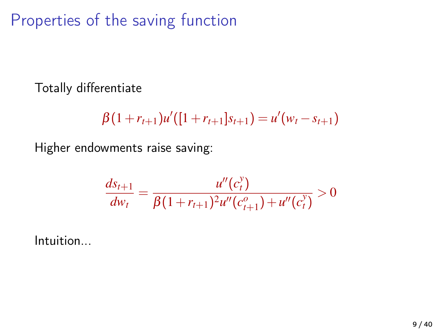Properties of the saving function

Totally differentiate

$$
\beta(1+r_{t+1})u'([1+r_{t+1}]s_{t+1})=u'(w_t-s_{t+1})
$$

Higher endowments raise saving:

$$
\frac{ds_{t+1}}{dw_t} = \frac{u''(c_t^y)}{\beta(1 + r_{t+1})^2 u''(c_{t+1}^o) + u''(c_t^y)} > 0
$$

Intuition...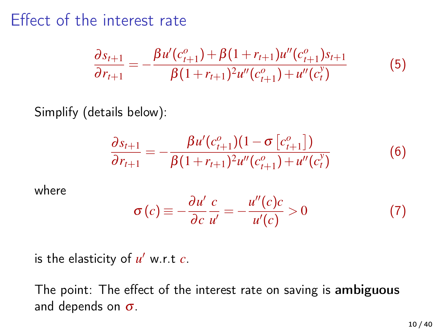#### Effect of the interest rate

$$
\frac{\partial s_{t+1}}{\partial r_{t+1}} = -\frac{\beta u'(c_{t+1}^o) + \beta (1 + r_{t+1}) u''(c_{t+1}^o) s_{t+1}}{\beta (1 + r_{t+1})^2 u''(c_{t+1}^o) + u''(c_t^o)}
$$
(5)

Simplify (details below):

$$
\frac{\partial s_{t+1}}{\partial r_{t+1}} = -\frac{\beta u'(c_{t+1}^o)(1 - \sigma [c_{t+1}^o])}{\beta (1 + r_{t+1})^2 u''(c_{t+1}^o) + u''(c_t^v)}
$$
(6)

where

$$
\sigma(c) \equiv -\frac{\partial u'}{\partial c} \frac{c}{u'} = -\frac{u''(c)c}{u'(c)} > 0 \tag{7}
$$

is the elasticity of  $u'$  w.r.t  $c$ .

The point: The effect of the interest rate on saving is ambiguous and depends on  $\sigma$ .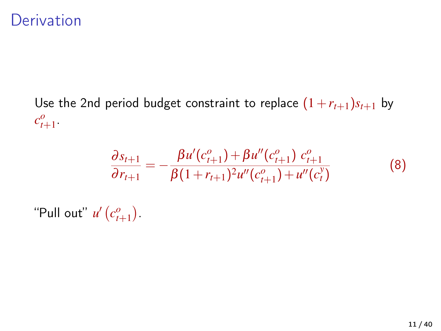#### **Derivation**

Use the 2nd period budget constraint to replace  $(1+r_{t+1})s_{t+1}$  by  $c_{t+1}^o$ .

$$
\frac{\partial s_{t+1}}{\partial r_{t+1}} = -\frac{\beta u'(c_{t+1}^o) + \beta u''(c_{t+1}^o) c_{t+1}^o}{\beta (1 + r_{t+1})^2 u''(c_{t+1}^o) + u''(c_t^v)}
$$
(8)

"Pull out"  $u'$   $(c_{t+1}^o)$ .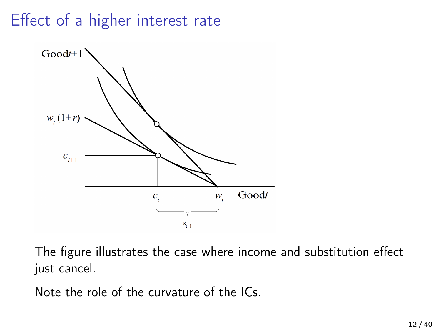# Effect of a higher interest rate



The figure illustrates the case where income and substitution effect just cancel.

Note the role of the curvature of the ICs.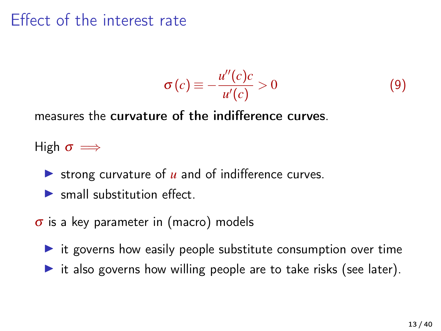#### Effect of the interest rate

$$
\sigma(c) \equiv -\frac{u''(c)c}{u'(c)} > 0 \tag{9}
$$

measures the curvature of the indifference curves.

High  $\sigma \implies$ 

- In strong curvature of  $u$  and of indifference curves.
- $\blacktriangleright$  small substitution effect.
- $\sigma$  is a key parameter in (macro) models
	- $\triangleright$  it governs how easily people substitute consumption over time
	- $\triangleright$  it also governs how willing people are to take risks (see later).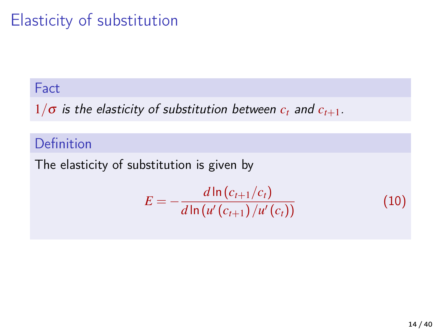# Elasticity of substitution

#### **Fact**

 $1/\sigma$  is the elasticity of substitution between  $c_t$  and  $c_{t+1}$ .

#### Definition

The elasticity of substitution is given by

$$
E = -\frac{d \ln (c_{t+1}/c_t)}{d \ln (u'(c_{t+1})/u'(c_t))}
$$
(10)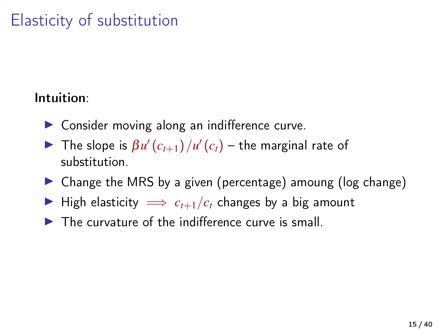## Elasticity of substitution

#### Intuition:

- $\triangleright$  Consider moving along an indifference curve.
- The slope is  $\beta u'(c_{t+1})/u'(c_t)$  the marginal rate of substitution.
- $\triangleright$  Change the MRS by a given (percentage) amoung (log change)
- $\triangleright$  High elasticity  $\implies$   $c_{t+1}/c_t$  changes by a big amount
- $\blacktriangleright$  The curvature of the indifference curve is small.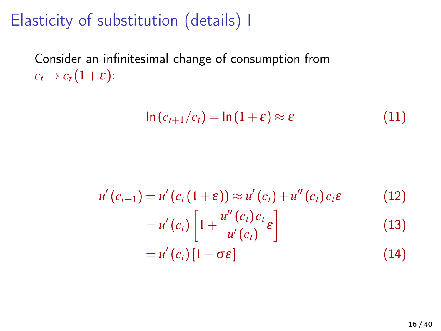### Elasticity of substitution (details) I

Consider an infinitesimal change of consumption from  $c_t \rightarrow c_t(1+\varepsilon)$ :

$$
\ln\left(c_{t+1}/c_t\right) = \ln\left(1+\varepsilon\right) \approx \varepsilon \tag{11}
$$

$$
u'(c_{t+1}) = u'(c_t(1+\varepsilon)) \approx u'(c_t) + u''(c_t)c_t\varepsilon \qquad (12)
$$
  

$$
= u'(c_t)\left[1 + \frac{u''(c_t)c_t}{u'(c_t)}\varepsilon\right] \qquad (13)
$$
  

$$
= u'(c_t)[1-\sigma\varepsilon] \qquad (14)
$$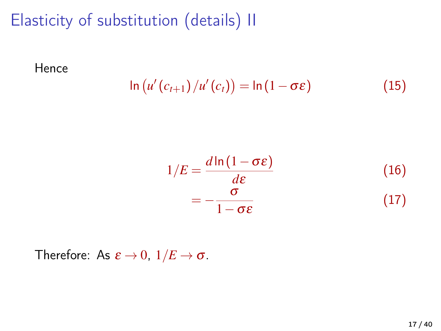## Elasticity of substitution (details) II

Hence

$$
\ln (u'(c_{t+1})/u'(c_t)) = \ln (1 - \sigma \varepsilon)
$$
 (15)

$$
1/E = \frac{d \ln(1 - \sigma \varepsilon)}{d\varepsilon}
$$
 (16)  
= 
$$
-\frac{\sigma}{1 - \sigma \varepsilon}
$$
 (17)

Therefore: As  $\varepsilon \to 0$ ,  $1/E \to \sigma$ .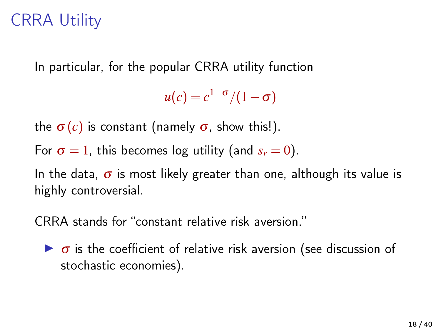### CRRA Utility

In particular, for the popular CRRA utility function

 $u(c) = c^{1-\sigma}/(1-\sigma)$ 

the  $\sigma(c)$  is constant (namely  $\sigma$ , show this!).

For  $\sigma = 1$ , this becomes log utility (and  $s_r = 0$ ).

In the data,  $\sigma$  is most likely greater than one, although its value is highly controversial.

CRRA stands for "constant relative risk aversion."

 $\triangleright$   $\sigma$  is the coefficient of relative risk aversion (see discussion of stochastic economies).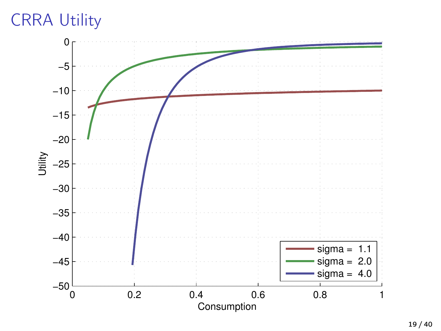# CRRA Utility

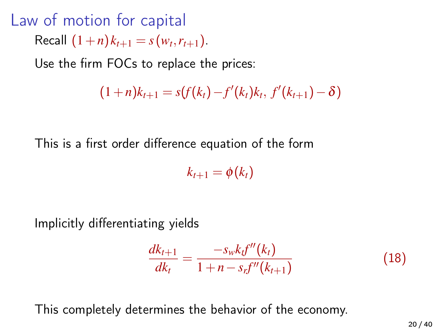Law of motion for capital  $Recall (1+n)$  $k_{t+1} = s(w_t, r_{t+1}).$ 

Use the firm FOCs to replace the prices:

$$
(1+n)k_{t+1} = s(f(k_t) - f'(k_t)k_t, f'(k_{t+1}) - \delta)
$$

This is a first order difference equation of the form

 $k_{t+1} = \phi(k_t)$ 

Implicitly differentiating yields

$$
\frac{dk_{t+1}}{dk_t} = \frac{-s_w k_t f''(k_t)}{1 + n - s_t f''(k_{t+1})}
$$
(18)

This completely determines the behavior of the economy.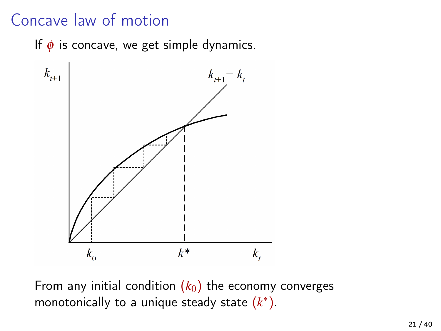#### Concave law of motion

If  $\phi$  is concave, we get simple dynamics.



From any initial condition  $(k_0)$  the economy converges monotonically to a unique steady state  $(k^*)$ .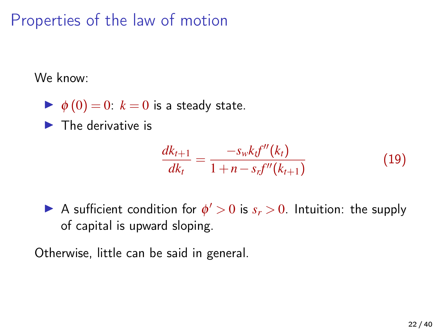Properties of the law of motion

We know:

 $\blacktriangleright \phi(0) = 0$ :  $k = 0$  is a steady state.

 $\blacktriangleright$  The derivative is

$$
\frac{dk_{t+1}}{dk_t} = \frac{-s_w k_t f''(k_t)}{1 + n - s_t f''(k_{t+1})}
$$
(19)

A sufficient condition for  $\phi' > 0$  is  $s_r > 0$ . Intuition: the supply of capital is upward sloping.

Otherwise, little can be said in general.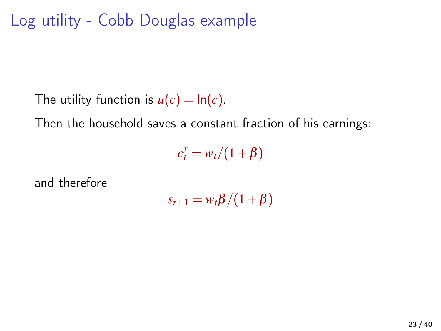Log utility - Cobb Douglas example

The utility function is  $u(c) = \ln(c)$ .

Then the household saves a constant fraction of his earnings:

 $c_t^y = w_t/(1+\beta)$ 

and therefore

 $s_{t+1} = w_t \beta / (1 + \beta)$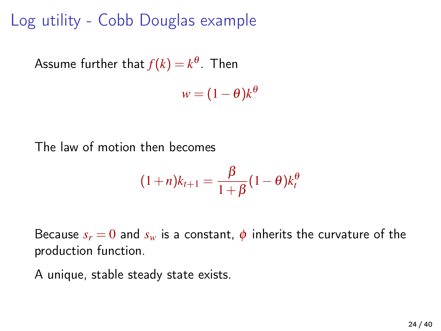#### Log utility - Cobb Douglas example

Assume further that  $f(k)=k^{\theta}.$  Then

 $w = (1 - \theta)k^{\theta}$ 

The law of motion then becomes

$$
(1+n)k_{t+1} = \frac{\beta}{1+\beta}(1-\theta)k_t^{\theta}
$$

Because  $s_r = 0$  and  $s_w$  is a constant,  $\phi$  inherits the curvature of the production function.

A unique, stable steady state exists.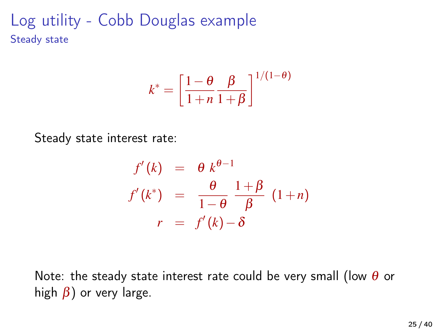Log utility - Cobb Douglas example Steady state

$$
k^* = \left[\frac{1-\theta}{1+n} \frac{\beta}{1+\beta}\right]^{1/(1-\theta)}
$$

Steady state interest rate:

$$
f'(k) = \theta k^{\theta-1}
$$
  

$$
f'(k^*) = \frac{\theta}{1-\theta} \frac{1+\beta}{\beta} (1+n)
$$
  

$$
r = f'(k) - \delta
$$

Note: the steady state interest rate could be very small (low  $\theta$  or high  $\beta$ ) or very large.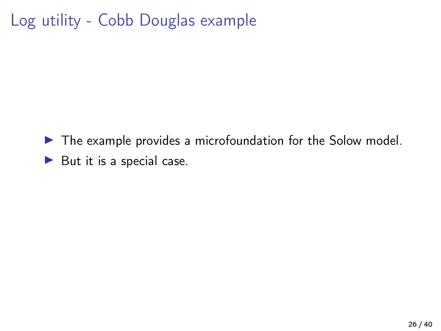### Log utility - Cobb Douglas example

 $\blacktriangleright$  The example provides a microfoundation for the Solow model.  $\blacktriangleright$  But it is a special case.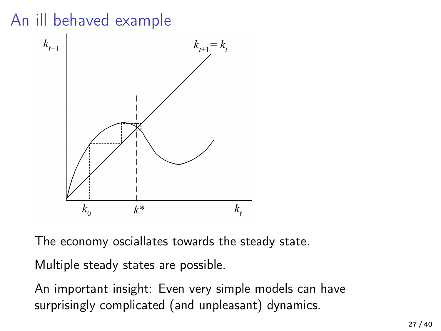## An ill behaved example



The economy osciallates towards the steady state.

Multiple steady states are possible.

An important insight: Even very simple models can have surprisingly complicated (and unpleasant) dynamics.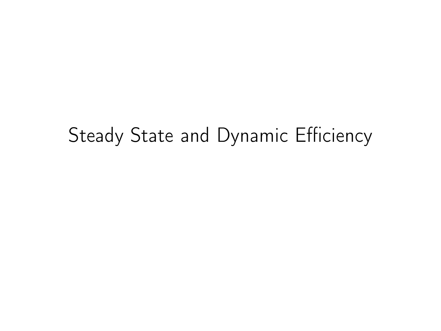# Steady State and Dynamic Efficiency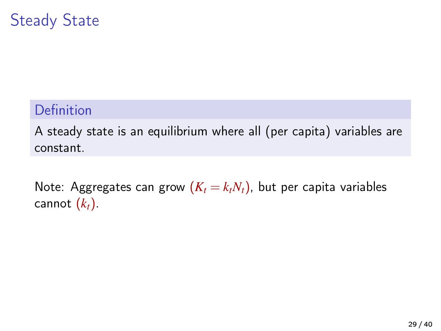#### Steady State

#### Definition

A steady state is an equilibrium where all (per capita) variables are constant.

Note: Aggregates can grow  $(K_t = k_t N_t)$ , but per capita variables cannot  $(k_t)$ .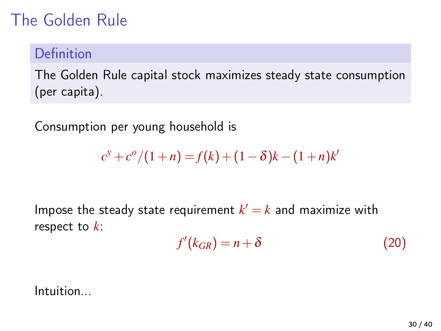### The Golden Rule

#### Definition

The Golden Rule capital stock maximizes steady state consumption (per capita).

Consumption per young household is

$$
c^{y}+c^{o}/(1+n) = f(k)+(1-\delta)k-(1+n)k^{i}
$$

Impose the steady state requirement  $k' = k$  and maximize with respect to *k*:

$$
f'(k_{GR}) = n + \delta \tag{20}
$$

Intuition...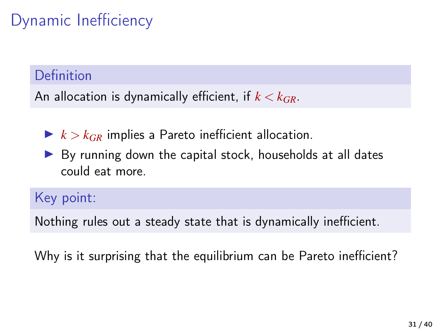# Dynamic Inefficiency

#### Definition

An allocation is dynamically efficient, if *k* < *kGR*.

- $\blacktriangleright k > k_{GR}$  implies a Pareto inefficient allocation.
- $\triangleright$  By running down the capital stock, households at all dates could eat more.

Key point:

Nothing rules out a steady state that is dynamically inefficient.

Why is it surprising that the equilibrium can be Pareto inefficient?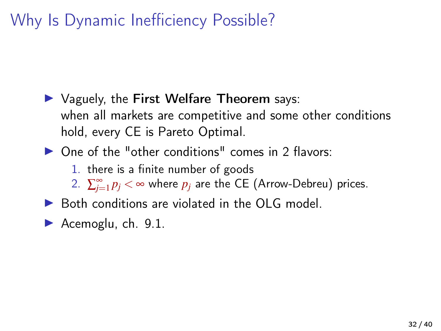### Why Is Dynamic Inefficiency Possible?

 $\triangleright$  Vaguely, the First Welfare Theorem says: when all markets are competitive and some other conditions hold, every CE is Pareto Optimal.

 $\triangleright$  One of the "other conditions" comes in 2 flavors:

1. there is a finite number of goods

2.  $\sum_{j=1}^{\infty} p_j < \infty$  where  $p_j$  are the CE (Arrow-Debreu) prices.

- $\triangleright$  Both conditions are violated in the OLG model.
- Acemoglu, ch.  $9.1$ .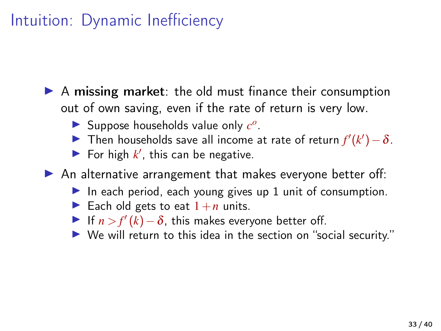#### Intuition: Dynamic Inefficiency

- $\triangleright$  A missing market: the old must finance their consumption out of own saving, even if the rate of return is very low.
	- Suppose households value only  $c^o$ .
	- **►** Then households save all income at rate of return  $f'(k') \delta$ .
	- $\blacktriangleright$  For high  $k'$ , this can be negative.

 $\blacktriangleright$  An alternative arrangement that makes everyone better off:

- In each period, each young gives up 1 unit of consumption.
- Each old gets to eat  $1+n$  units.
- $\triangleright$  If *n* > *f'* (*k*) − δ, this makes everyone better off.
- I We will return to this idea in the section on "social security."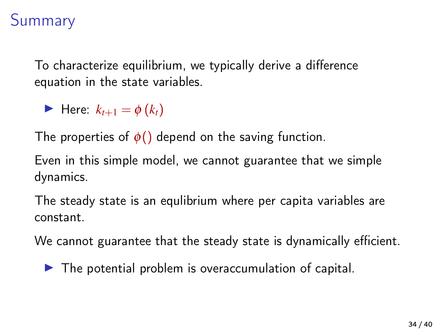#### Summary

To characterize equilibrium, we typically derive a difference equation in the state variables.

 $\blacktriangleright$  Here:  $k_{t+1} = \phi(k_t)$ 

The properties of  $\phi()$  depend on the saving function.

Even in this simple model, we cannot guarantee that we simple dynamics.

The steady state is an equlibrium where per capita variables are constant.

We cannot guarantee that the steady state is dynamically efficient.

 $\blacktriangleright$  The potential problem is overaccumulation of capital.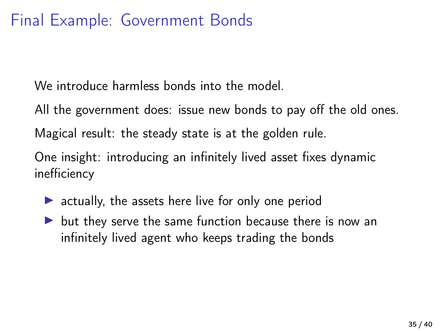#### Final Example: Government Bonds

We introduce harmless bonds into the model.

All the government does: issue new bonds to pay off the old ones.

Magical result: the steady state is at the golden rule.

One insight: introducing an infinitely lived asset fixes dynamic inefficiency

- $\triangleright$  actually, the assets here live for only one period
- $\triangleright$  but they serve the same function because there is now an infinitely lived agent who keeps trading the bonds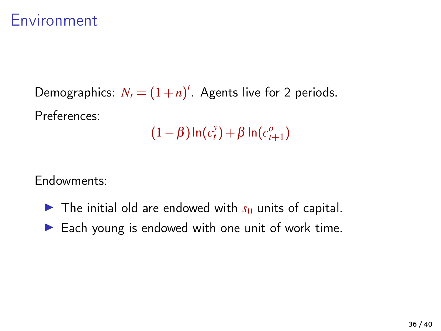#### Environment

Demographics:  $N_t = (1+n)^t$ . Agents live for 2 periods. Preferences: *y o*

$$
(1-\beta)\ln(c_t^y)+\beta\ln(c_{t+1}^o)
$$

Endowments:

- $\blacktriangleright$  The initial old are endowed with  $s_0$  units of capital.
- $\blacktriangleright$  Each young is endowed with one unit of work time.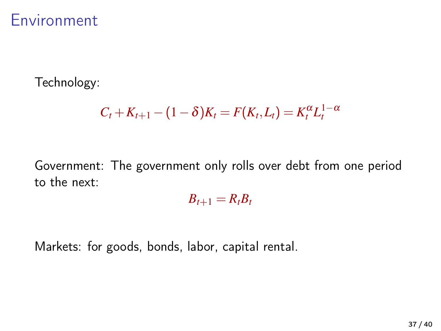#### Environment

Technology:

$$
C_t + K_{t+1} - (1 - \delta)K_t = F(K_t, L_t) = K_t^{\alpha}L_t^{1-\alpha}
$$

Government: The government only rolls over debt from one period to the next:

 $B_{t+1} = R_t B_t$ 

Markets: for goods, bonds, labor, capital rental.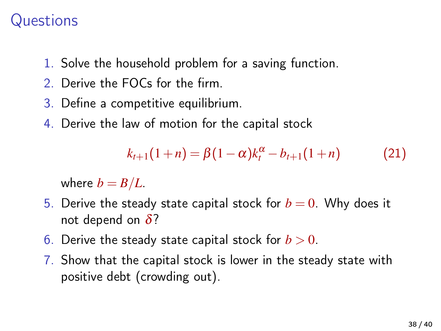#### **Questions**

- 1. Solve the household problem for a saving function.
- 2. Derive the FOCs for the firm.
- 3. Define a competitive equilibrium.
- 4. Derive the law of motion for the capital stock

$$
k_{t+1}(1+n) = \beta(1-\alpha)k_t^{\alpha} - b_{t+1}(1+n) \tag{21}
$$

where  $b = B/L$ .

- 5. Derive the steady state capital stock for  $b = 0$ . Why does it not depend on  $\delta$ ?
- 6. Derive the steady state capital stock for  $b > 0$ .
- 7. Show that the capital stock is lower in the steady state with positive debt (crowding out).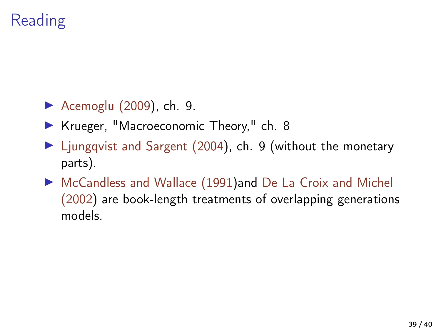# Reading

- Acemoglu  $(2009)$ , ch. 9.
- ▶ Krueger, "Macroeconomic Theory," ch. 8
- ▶ [Ljungqvist and Sargent \(2004\)](#page-39-1), ch. 9 (without the monetary parts).
- ▶ [McCandless and Wallace \(1991\)](#page-39-2)and [De La Croix and Michel](#page-39-3) [\(2002\)](#page-39-3) are book-length treatments of overlapping generations models.